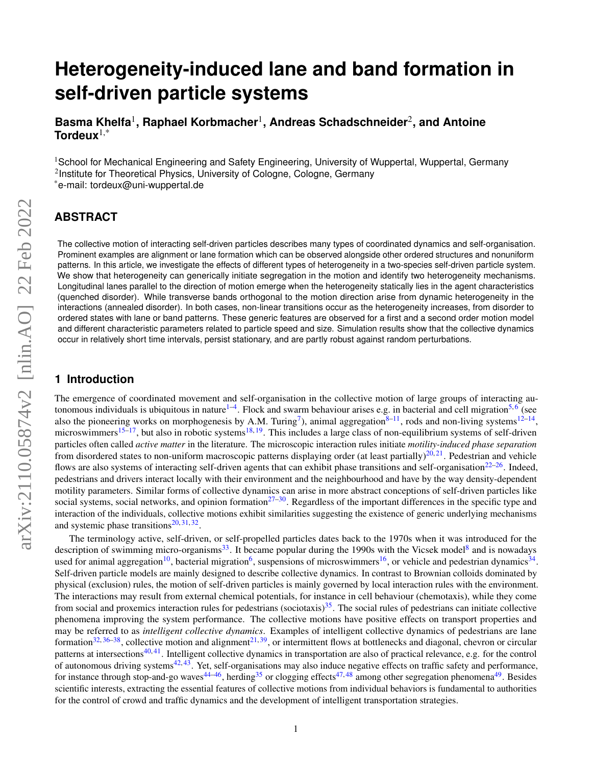# **Heterogeneity-induced lane and band formation in self-driven particle systems**

**Basma Khelfa**<sup>1</sup> **, Raphael Korbmacher**<sup>1</sup> **, Andreas Schadschneider**<sup>2</sup> **, and Antoine Tordeux**1,\*

<sup>1</sup>School for Mechanical Engineering and Safety Engineering, University of Wuppertal, Wuppertal, Germany <sup>2</sup>Institute for Theoretical Physics, University of Cologne, Cologne, Germany \*e-mail: tordeux@uni-wuppertal.de

# **ABSTRACT**

The collective motion of interacting self-driven particles describes many types of coordinated dynamics and self-organisation. Prominent examples are alignment or lane formation which can be observed alongside other ordered structures and nonuniform patterns. In this article, we investigate the effects of different types of heterogeneity in a two-species self-driven particle system. We show that heterogeneity can generically initiate segregation in the motion and identify two heterogeneity mechanisms. Longitudinal lanes parallel to the direction of motion emerge when the heterogeneity statically lies in the agent characteristics (quenched disorder). While transverse bands orthogonal to the motion direction arise from dynamic heterogeneity in the interactions (annealed disorder). In both cases, non-linear transitions occur as the heterogeneity increases, from disorder to ordered states with lane or band patterns. These generic features are observed for a first and a second order motion model and different characteristic parameters related to particle speed and size. Simulation results show that the collective dynamics occur in relatively short time intervals, persist stationary, and are partly robust against random perturbations.

## **1 Introduction**

The emergence of coordinated movement and self-organisation in the collective motion of large groups of interacting au-tonomous individuals is ubiquitous in nature<sup>[1](#page-8-0)-4</sup>. Flock and swarm behaviour arises e.g. in bacterial and cell migration<sup>[5,](#page-8-2)[6](#page-8-3)</sup> (see also the pioneering works on morphogenesis by A.M. Turing<sup>[7](#page-8-4)</sup>), animal aggregation<sup>[8](#page-8-5)[–11](#page-9-0)</sup>, rods and non-living systems<sup>[12](#page-9-1)[–14](#page-9-2)</sup>, microswimmers<sup>[15–](#page-9-3)[17](#page-9-4)</sup>, but also in robotic systems<sup>[18,](#page-9-5) [19](#page-9-6)</sup>. This includes a large class of non-equilibrium systems of self-driven particles often called *active matter* in the literature. The microscopic interaction rules initiate *motility-induced phase separation* from disordered states to non-uniform macroscopic patterns displaying order (at least partially)<sup>[20,](#page-9-7) [21](#page-9-8)</sup>. Pedestrian and vehicle flows are also systems of interacting self-driven agents that can exhibit phase transitions and self-organisation $22-26$  $22-26$ . Indeed, pedestrians and drivers interact locally with their environment and the neighbourhood and have by the way density-dependent motility parameters. Similar forms of collective dynamics can arise in more abstract conceptions of self-driven particles like social systems, social networks, and opinion formation<sup>[27](#page-9-11)[–30](#page-9-12)</sup>. Regardless of the important differences in the specific type and interaction of the individuals, collective motions exhibit similarities suggesting the existence of generic underlying mechanisms and systemic phase transitions $20, 31, 32$  $20, 31, 32$  $20, 31, 32$  $20, 31, 32$  $20, 31, 32$ .

The terminology active, self-driven, or self-propelled particles dates back to the 1970s when it was introduced for the description of swimming micro-organisms<sup>[33](#page-9-15)</sup>. It became popular during the 1990s with the Vicsek model<sup>[8](#page-8-5)</sup> and is nowadays used for animal aggregation<sup>[10](#page-8-6)</sup>, bacterial migration<sup>[6](#page-8-3)</sup>, suspensions of microswimmers<sup>[16](#page-9-16)</sup>, or vehicle and pedestrian dynamics<sup>[34](#page-9-17)</sup>. Self-driven particle models are mainly designed to describe collective dynamics. In contrast to Brownian colloids dominated by physical (exclusion) rules, the motion of self-driven particles is mainly governed by local interaction rules with the environment. The interactions may result from external chemical potentials, for instance in cell behaviour (chemotaxis), while they come from social and proxemics interaction rules for pedestrians (sociotaxis)<sup>[35](#page-9-18)</sup>. The social rules of pedestrians can initiate collective phenomena improving the system performance. The collective motions have positive effects on transport properties and may be referred to as *intelligent collective dynamics*. Examples of intelligent collective dynamics of pedestrians are lane formation<sup>[32,](#page-9-14) [36–](#page-9-19)[38](#page-10-0)</sup>, collective motion and alignment<sup>[21,](#page-9-8) [39](#page-10-1)</sup>, or intermittent flows at bottlenecks and diagonal, chevron or circular patterns at intersections<sup>[40,](#page-10-2) [41](#page-10-3)</sup>. Intelligent collective dynamics in transportation are also of practical relevance, e.g. for the control of autonomous driving systems<sup>[42,](#page-10-4) [43](#page-10-5)</sup>. Yet, self-organisations may also induce negative effects on traffic safety and performance, for instance through stop-and-go waves<sup>[44–](#page-10-6)[46](#page-10-7)</sup>, herding<sup>[35](#page-9-18)</sup> or clogging effects<sup>[47,](#page-10-8)[48](#page-10-9)</sup> among other segregation phenomena<sup>[49](#page-10-10)</sup>. Besides scientific interests, extracting the essential features of collective motions from individual behaviors is fundamental to authorities for the control of crowd and traffic dynamics and the development of intelligent transportation strategies.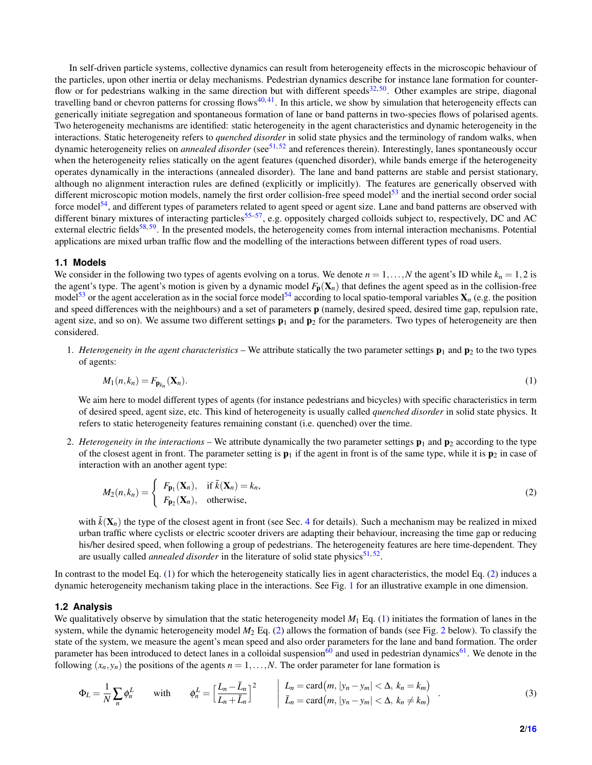In self-driven particle systems, collective dynamics can result from heterogeneity effects in the microscopic behaviour of the particles, upon other inertia or delay mechanisms. Pedestrian dynamics describe for instance lane formation for counter-flow or for pedestrians walking in the same direction but with different speeds<sup>[32,](#page-9-14)[50](#page-10-11)</sup>. Other examples are stripe, diagonal travelling band or chevron patterns for crossing flows $40,41$  $40,41$ . In this article, we show by simulation that heterogeneity effects can generically initiate segregation and spontaneous formation of lane or band patterns in two-species flows of polarised agents. Two heterogeneity mechanisms are identified: static heterogeneity in the agent characteristics and dynamic heterogeneity in the interactions. Static heterogeneity refers to *quenched disorder* in solid state physics and the terminology of random walks, when dynamic heterogeneity relies on *annealed disorder* (see<sup>[51,](#page-10-12)[52](#page-10-13)</sup> and references therein). Interestingly, lanes spontaneously occur when the heterogeneity relies statically on the agent features (quenched disorder), while bands emerge if the heterogeneity operates dynamically in the interactions (annealed disorder). The lane and band patterns are stable and persist stationary, although no alignment interaction rules are defined (explicitly or implicitly). The features are generically observed with different microscopic motion models, namely the first order collision-free speed model<sup>[53](#page-10-14)</sup> and the inertial second order social force model<sup>[54](#page-10-15)</sup>, and different types of parameters related to agent speed or agent size. Lane and band patterns are observed with different binary mixtures of interacting particles<sup>[55](#page-10-16)[–57](#page-10-17)</sup>, e.g. oppositely charged colloids subject to, respectively, DC and AC external electric fields<sup>[58,](#page-10-18) [59](#page-10-19)</sup>. In the presented models, the heterogeneity comes from internal interaction mechanisms. Potential applications are mixed urban traffic flow and the modelling of the interactions between different types of road users.

#### **1.1 Models**

We consider in the following two types of agents evolving on a torus. We denote  $n = 1, \ldots, N$  the agent's ID while  $k_n = 1, 2$  is the agent's type. The agent's motion is given by a dynamic model  $F_p(X_n)$  that defines the agent speed as in the collision-free model<sup>[53](#page-10-14)</sup> or the agent acceleration as in the social force model<sup>[54](#page-10-15)</sup> according to local spatio-temporal variables  $X_n$  (e.g. the position and speed differences with the neighbours) and a set of parameters p (namely, desired speed, desired time gap, repulsion rate, agent size, and so on). We assume two different settings  $\mathbf{p}_1$  and  $\mathbf{p}_2$  for the parameters. Two types of heterogeneity are then considered.

1. *Heterogeneity in the agent characteristics* – We attribute statically the two parameter settings  $\mathbf{p}_1$  and  $\mathbf{p}_2$  to the two types of agents:

<span id="page-1-0"></span>
$$
M_1(n,k_n) = F_{\mathbf{p}_{k_n}}(\mathbf{X}_n). \tag{1}
$$

We aim here to model different types of agents (for instance pedestrians and bicycles) with specific characteristics in term of desired speed, agent size, etc. This kind of heterogeneity is usually called *quenched disorder* in solid state physics. It refers to static heterogeneity features remaining constant (i.e. quenched) over the time.

2. *Heterogeneity in the interactions* – We attribute dynamically the two parameter settings  $\mathbf{p}_1$  and  $\mathbf{p}_2$  according to the type of the closest agent in front. The parameter setting is  $\mathbf{p}_1$  if the agent in front is of the same type, while it is  $\mathbf{p}_2$  in case of interaction with an another agent type:

<span id="page-1-1"></span>
$$
M_2(n,k_n) = \begin{cases} F_{\mathbf{p}_1}(\mathbf{X}_n), & \text{if } \tilde{k}(\mathbf{X}_n) = k_n, \\ F_{\mathbf{p}_2}(\mathbf{X}_n), & \text{otherwise,} \end{cases}
$$
 (2)

with  $\tilde{k}(\mathbf{X}_n)$  the type of the closest agent in front (see Sec. [4](#page-7-0) for details). Such a mechanism may be realized in mixed urban traffic where cyclists or electric scooter drivers are adapting their behaviour, increasing the time gap or reducing his/her desired speed, when following a group of pedestrians. The heterogeneity features are here time-dependent. They are usually called *annealed disorder* in the literature of solid state physics<sup>[51,](#page-10-12)[52](#page-10-13)</sup>.

In contrast to the model Eq. [\(1\)](#page-1-0) for which the heterogeneity statically lies in agent characteristics, the model Eq. [\(2\)](#page-1-1) induces a dynamic heterogeneity mechanism taking place in the interactions. See Fig. [1](#page-2-0) for an illustrative example in one dimension.

#### **1.2 Analysis**

We qualitatively observe by simulation that the static heterogeneity model  $M_1$  Eq. [\(1\)](#page-1-0) initiates the formation of lanes in the system, while the dynamic heterogeneity model *M*<sup>2</sup> Eq. [\(2\)](#page-1-1) allows the formation of bands (see Fig. [2](#page-3-0) below). To classify the state of the system, we measure the agent's mean speed and also order parameters for the lane and band formation. The order parameter has been introduced to detect lanes in a colloidal suspension<sup>[60](#page-10-20)</sup> and used in pedestrian dynamics<sup>[61](#page-10-21)</sup>. We denote in the following  $(x_n, y_n)$  the positions of the agents  $n = 1, \ldots, N$ . The order parameter for lane formation is

$$
\Phi_L = \frac{1}{N} \sum_n \phi_n^L \qquad \text{with} \qquad \phi_n^L = \left[ \frac{L_n - \bar{L}_n}{L_n + \bar{L}_n} \right]^2 \qquad \begin{vmatrix} L_n = \text{card}(m, |y_n - y_m| < \Delta, k_n = k_m) \\ \bar{L}_n = \text{card}(m, |y_n - y_m| < \Delta, k_n \neq k_m) \end{vmatrix} \tag{3}
$$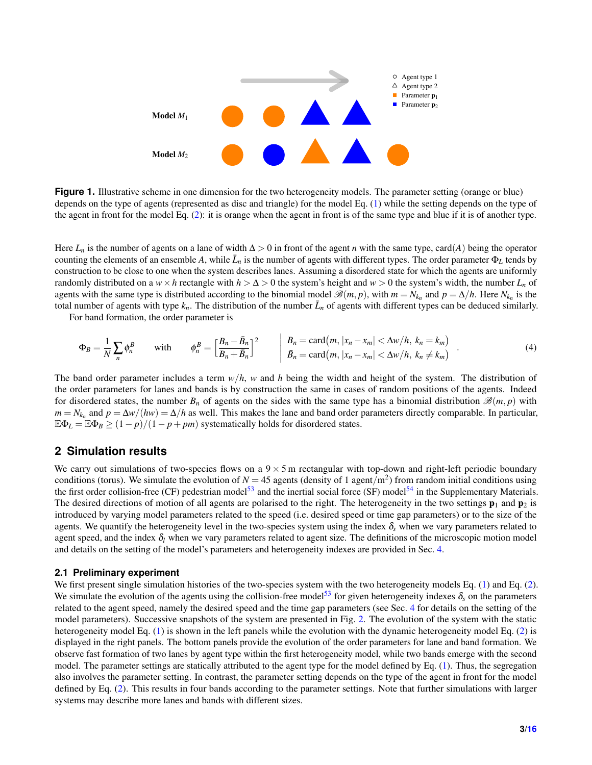<span id="page-2-0"></span>

**Figure 1.** Illustrative scheme in one dimension for the two heterogeneity models. The parameter setting (orange or blue) depends on the type of agents (represented as disc and triangle) for the model Eq. [\(1\)](#page-1-0) while the setting depends on the type of the agent in front for the model Eq. [\(2\)](#page-1-1): it is orange when the agent in front is of the same type and blue if it is of another type.

Here  $L_n$  is the number of agents on a lane of width  $\Delta > 0$  in front of the agent *n* with the same type, card(*A*) being the operator counting the elements of an ensemble *A*, while  $\bar{L}_n$  is the number of agents with different types. The order parameter  $\Phi_L$  tends by construction to be close to one when the system describes lanes. Assuming a disordered state for which the agents are uniformly randomly distributed on a  $w \times h$  rectangle with  $h > \Delta > 0$  the system's height and  $w > 0$  the system's width, the number  $L_n$  of agents with the same type is distributed according to the binomial model  $\mathscr{B}(m, p)$ , with  $m = N_{k_n}$  and  $p = \Delta/h$ . Here  $N_{k_n}$  is the total number of agents with type  $k_n$ . The distribution of the number  $\bar{L}_n$  of agents with different types can be deduced similarly.

For band formation, the order parameter is

$$
\Phi_B = \frac{1}{N} \sum_n \phi_n^B \qquad \text{with} \qquad \phi_n^B = \left[ \frac{B_n - \bar{B}_n}{B_n + \bar{B}_n} \right]^2 \qquad \begin{vmatrix} B_n = \text{card}(m, |x_n - x_m| < \Delta w/h, k_n = k_m) \\ \bar{B}_n = \text{card}(m, |x_n - x_m| < \Delta w/h, k_n \neq k_m) \end{vmatrix} \tag{4}
$$

The band order parameter includes a term *w*/*h*, *w* and *h* being the width and height of the system. The distribution of the order parameters for lanes and bands is by construction the same in cases of random positions of the agents. Indeed for disordered states, the number  $B_n$  of agents on the sides with the same type has a binomial distribution  $\mathcal{B}(m, p)$  with  $m = N_{k_n}$  and  $p = \Delta w/(hw) = \Delta/h$  as well. This makes the lane and band order parameters directly comparable. In particular,  $\mathbb{E}\Phi_L = \mathbb{E}\Phi_B \ge (1-p)/(1-p+pm)$  systematically holds for disordered states.

## **2 Simulation results**

We carry out simulations of two-species flows on a  $9 \times 5$  m rectangular with top-down and right-left periodic boundary conditions (torus). We simulate the evolution of  $N = 45$  agents (density of 1 agent/m<sup>2</sup>) from random initial conditions using the first order collision-free (CF) pedestrian model<sup>[53](#page-10-14)</sup> and the inertial social force (SF) model<sup>[54](#page-10-15)</sup> in the Supplementary Materials. The desired directions of motion of all agents are polarised to the right. The heterogeneity in the two settings  $\mathbf{p}_1$  and  $\mathbf{p}_2$  is introduced by varying model parameters related to the speed (i.e. desired speed or time gap parameters) or to the size of the agents. We quantify the heterogeneity level in the two-species system using the index  $\delta_s$  when we vary parameters related to agent speed, and the index  $\delta_l$  when we vary parameters related to agent size. The definitions of the microscopic motion model and details on the setting of the model's parameters and heterogeneity indexes are provided in Sec. [4.](#page-7-0)

#### **2.1 Preliminary experiment**

We first present single simulation histories of the two-species system with the two heterogeneity models Eq. [\(1\)](#page-1-0) and Eq. [\(2\)](#page-1-1). We simulate the evolution of the agents using the collision-free model<sup>[53](#page-10-14)</sup> for given heterogeneity indexes  $\delta_s$  on the parameters related to the agent speed, namely the desired speed and the time gap parameters (see Sec. [4](#page-7-0) for details on the setting of the model parameters). Successive snapshots of the system are presented in Fig. [2.](#page-3-0) The evolution of the system with the static heterogeneity model Eq. [\(1\)](#page-1-0) is shown in the left panels while the evolution with the dynamic heterogeneity model Eq. [\(2\)](#page-1-1) is displayed in the right panels. The bottom panels provide the evolution of the order parameters for lane and band formation. We observe fast formation of two lanes by agent type within the first heterogeneity model, while two bands emerge with the second model. The parameter settings are statically attributed to the agent type for the model defined by Eq. [\(1\)](#page-1-0). Thus, the segregation also involves the parameter setting. In contrast, the parameter setting depends on the type of the agent in front for the model defined by Eq. [\(2\)](#page-1-1). This results in four bands according to the parameter settings. Note that further simulations with larger systems may describe more lanes and bands with different sizes.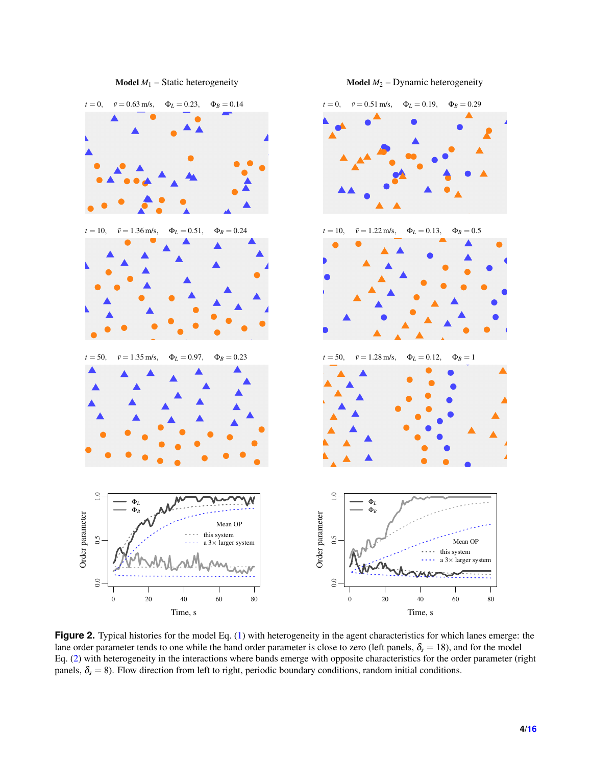<span id="page-3-0"></span>

**Figure 2.** Typical histories for the model Eq. [\(1\)](#page-1-0) with heterogeneity in the agent characteristics for which lanes emerge: the lane order parameter tends to one while the band order parameter is close to zero (left panels,  $\delta_s = 18$ ), and for the model Eq. [\(2\)](#page-1-1) with heterogeneity in the interactions where bands emerge with opposite characteristics for the order parameter (right panels,  $\delta_s = 8$ ). Flow direction from left to right, periodic boundary conditions, random initial conditions.

**Model**  $M_2$  – Dynamic heterogeneity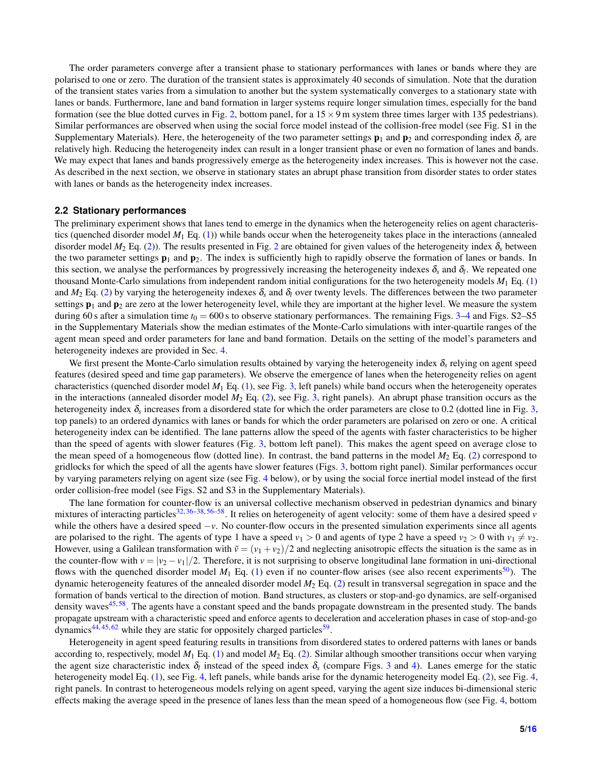The order parameters converge after a transient phase to stationary performances with lanes or bands where they are polarised to one or zero. The duration of the transient states is approximately 40 seconds of simulation. Note that the duration of the transient states varies from a simulation to another but the system systematically converges to a stationary state with lanes or bands. Furthermore, lane and band formation in larger systems require longer simulation times, especially for the band formation (see the blue dotted curves in Fig. [2,](#page-3-0) bottom panel, for a  $15 \times 9$  m system three times larger with 135 pedestrians). Similar performances are observed when using the social force model instead of the collision-free model (see Fig. S1 in the Supplementary Materials). Here, the heterogeneity of the two parameter settings  $\mathbf{p}_1$  and  $\mathbf{p}_2$  and corresponding index  $\delta_s$  are relatively high. Reducing the heterogeneity index can result in a longer transient phase or even no formation of lanes and bands. We may expect that lanes and bands progressively emerge as the heterogeneity index increases. This is however not the case. As described in the next section, we observe in stationary states an abrupt phase transition from disorder states to order states with lanes or bands as the heterogeneity index increases.

#### **2.2 Stationary performances**

The preliminary experiment shows that lanes tend to emerge in the dynamics when the heterogeneity relies on agent characteristics (quenched disorder model  $M_1$  Eq. [\(1\)](#page-1-0)) while bands occur when the heterogeneity takes place in the interactions (annealed disorder model  $M_2$  $M_2$  Eq. [\(2\)](#page-1-1)). The results presented in Fig. 2 are obtained for given values of the heterogeneity index  $\delta_s$  between the two parameter settings  $\mathbf{p}_1$  and  $\mathbf{p}_2$ . The index is sufficiently high to rapidly observe the formation of lanes or bands. In this section, we analyse the performances by progressively increasing the heterogeneity indexes  $\delta_s$  and  $\delta_l$ . We repeated one thousand Monte-Carlo simulations from independent random initial configurations for the two heterogeneity models *M*<sup>1</sup> Eq. [\(1\)](#page-1-0) and  $M_2$  Eq. [\(2\)](#page-1-1) by varying the heterogeneity indexes  $\delta_s$  and  $\delta_l$  over twenty levels. The differences between the two parameter settings  $p_1$  and  $p_2$  are zero at the lower heterogeneity level, while they are important at the higher level. We measure the system during 60 s after a simulation time  $t_0 = 600$  s to observe stationary performances. The remaining Figs. [3–](#page-5-0)[4](#page-5-1) and Figs. S2–S5 in the Supplementary Materials show the median estimates of the Monte-Carlo simulations with inter-quartile ranges of the agent mean speed and order parameters for lane and band formation. Details on the setting of the model's parameters and heterogeneity indexes are provided in Sec. [4.](#page-7-0)

We first present the Monte-Carlo simulation results obtained by varying the heterogeneity index  $\delta_s$  relying on agent speed features (desired speed and time gap parameters). We observe the emergence of lanes when the heterogeneity relies on agent characteristics (quenched disorder model *M*<sup>1</sup> Eq. [\(1\)](#page-1-0), see Fig. [3,](#page-5-0) left panels) while band occurs when the heterogeneity operates in the interactions (annealed disorder model *M*<sup>2</sup> Eq. [\(2\)](#page-1-1), see Fig. [3,](#page-5-0) right panels). An abrupt phase transition occurs as the heterogeneity index  $\delta_s$  increases from a disordered state for which the order parameters are close to 0.2 (dotted line in Fig. [3,](#page-5-0) top panels) to an ordered dynamics with lanes or bands for which the order parameters are polarised on zero or one. A critical heterogeneity index can be identified. The lane patterns allow the speed of the agents with faster characteristics to be higher than the speed of agents with slower features (Fig. [3,](#page-5-0) bottom left panel). This makes the agent speed on average close to the mean speed of a homogeneous flow (dotted line). In contrast, the band patterns in the model  $M_2$  Eq. [\(2\)](#page-1-1) correspond to gridlocks for which the speed of all the agents have slower features (Figs. [3,](#page-5-0) bottom right panel). Similar performances occur by varying parameters relying on agent size (see Fig. [4](#page-5-1) below), or by using the social force inertial model instead of the first order collision-free model (see Figs. S2 and S3 in the Supplementary Materials).

The lane formation for counter-flow is an universal collective mechanism observed in pedestrian dynamics and binary mixtures of interacting particles<sup>[32,](#page-9-14) [36–](#page-9-19)[38,](#page-10-0) [56](#page-10-22)[–58](#page-10-18)</sup>. It relies on heterogeneity of agent velocity: some of them have a desired speed *v* while the others have a desired speed −*v*. No counter-flow occurs in the presented simulation experiments since all agents are polarised to the right. The agents of type 1 have a speed  $v_1 > 0$  and agents of type 2 have a speed  $v_2 > 0$  with  $v_1 \neq v_2$ . However, using a Galilean transformation with  $\tilde{v} = (v_1 + v_2)/2$  and neglecting anisotropic effects the situation is the same as in the counter-flow with  $v = |v_2 - v_1|/2$ . Therefore, it is not surprising to observe longitudinal lane formation in uni-directional flows with the quenched disorder model  $M_1$  Eq. [\(1\)](#page-1-0) even if no counter-flow arises (see also recent experiments<sup>[50](#page-10-11)</sup>). The dynamic heterogeneity features of the annealed disorder model *M*<sup>2</sup> Eq. [\(2\)](#page-1-1) result in transversal segregation in space and the formation of bands vertical to the direction of motion. Band structures, as clusters or stop-and-go dynamics, are self-organised density waves<sup>[45,](#page-10-23) [58](#page-10-18)</sup>. The agents have a constant speed and the bands propagate downstream in the presented study. The bands propagate upstream with a characteristic speed and enforce agents to deceleration and acceleration phases in case of stop-and-go dynamics<sup>[44,](#page-10-6)[45,](#page-10-23)[62](#page-10-24)</sup> while they are static for oppositely charged particles<sup>[59](#page-10-19)</sup>.

Heterogeneity in agent speed featuring results in transitions from disordered states to ordered patterns with lanes or bands according to, respectively, model  $M_1$  Eq. [\(1\)](#page-1-0) and model  $M_2$  Eq. [\(2\)](#page-1-1). Similar although smoother transitions occur when varying the agent size characteristic index  $\delta_l$  instead of the speed index  $\delta_s$  (compare Figs. [3](#page-5-0) and [4\)](#page-5-1). Lanes emerge for the static heterogeneity model Eq. [\(1\)](#page-1-0), see Fig. [4,](#page-5-1) left panels, while bands arise for the dynamic heterogeneity model Eq. [\(2\)](#page-1-1), see Fig. [4,](#page-5-1) right panels. In contrast to heterogeneous models relying on agent speed, varying the agent size induces bi-dimensional steric effects making the average speed in the presence of lanes less than the mean speed of a homogeneous flow (see Fig. [4,](#page-5-1) bottom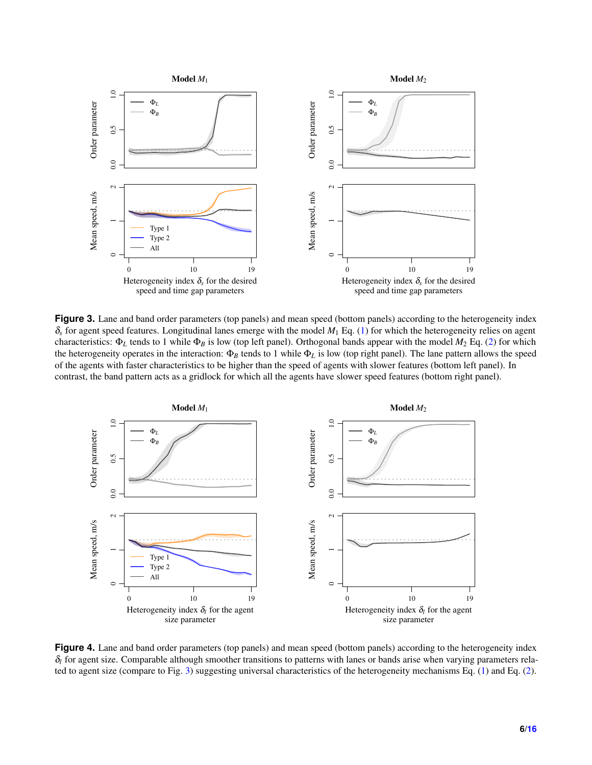<span id="page-5-0"></span>

**Figure 3.** Lane and band order parameters (top panels) and mean speed (bottom panels) according to the heterogeneity index  $\delta_s$  for agent speed features. Longitudinal lanes emerge with the model  $M_1$  Eq. [\(1\)](#page-1-0) for which the heterogeneity relies on agent characteristics: Φ*<sup>L</sup>* tends to 1 while Φ*<sup>B</sup>* is low (top left panel). Orthogonal bands appear with the model *M*<sup>2</sup> Eq. [\(2\)](#page-1-1) for which the heterogeneity operates in the interaction:  $\Phi_B$  tends to 1 while  $\Phi_L$  is low (top right panel). The lane pattern allows the speed of the agents with faster characteristics to be higher than the speed of agents with slower features (bottom left panel). In contrast, the band pattern acts as a gridlock for which all the agents have slower speed features (bottom right panel).

<span id="page-5-1"></span>

**Figure 4.** Lane and band order parameters (top panels) and mean speed (bottom panels) according to the heterogeneity index  $\delta_l$  for agent size. Comparable although smoother transitions to patterns with lanes or bands arise when varying parameters related to agent size (compare to Fig. [3\)](#page-5-0) suggesting universal characteristics of the heterogeneity mechanisms Eq. [\(1\)](#page-1-0) and Eq. [\(2\)](#page-1-1).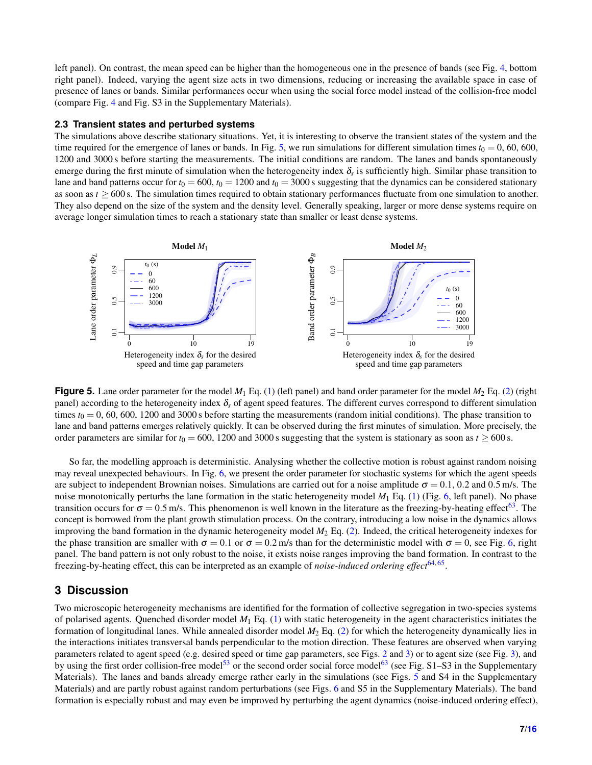left panel). On contrast, the mean speed can be higher than the homogeneous one in the presence of bands (see Fig. [4,](#page-5-1) bottom right panel). Indeed, varying the agent size acts in two dimensions, reducing or increasing the available space in case of presence of lanes or bands. Similar performances occur when using the social force model instead of the collision-free model (compare Fig. [4](#page-5-1) and Fig. S3 in the Supplementary Materials).

#### <span id="page-6-1"></span>**2.3 Transient states and perturbed systems**

The simulations above describe stationary situations. Yet, it is interesting to observe the transient states of the system and the time required for the emergence of lanes or bands. In Fig. [5,](#page-6-0) we run simulations for different simulation times  $t_0 = 0$ , 60, 600, 1200 and 3000 s before starting the measurements. The initial conditions are random. The lanes and bands spontaneously emerge during the first minute of simulation when the heterogeneity index  $\delta_s$  is sufficiently high. Similar phase transition to lane and band patterns occur for  $t_0 = 600$ ,  $t_0 = 1200$  and  $t_0 = 3000$  suggesting that the dynamics can be considered stationary as soon as  $t \ge 600$  s. The simulation times required to obtain stationary performances fluctuate from one simulation to another. They also depend on the size of the system and the density level. Generally speaking, larger or more dense systems require on average longer simulation times to reach a stationary state than smaller or least dense systems.

<span id="page-6-0"></span>

**Figure 5.** Lane order parameter for the model  $M_1$  Eq. [\(1\)](#page-1-0) (left panel) and band order parameter for the model  $M_2$  Eq. [\(2\)](#page-1-1) (right panel) according to the heterogeneity index δ*<sup>s</sup>* of agent speed features. The different curves correspond to different simulation times  $t_0 = 0$ , 60, 600, 1200 and 3000 s before starting the measurements (random initial conditions). The phase transition to lane and band patterns emerges relatively quickly. It can be observed during the first minutes of simulation. More precisely, the order parameters are similar for  $t_0 = 600$ , 1200 and 3000 s suggesting that the system is stationary as soon as  $t \ge 600$  s.

So far, the modelling approach is deterministic. Analysing whether the collective motion is robust against random noising may reveal unexpected behaviours. In Fig. [6,](#page-7-1) we present the order parameter for stochastic systems for which the agent speeds are subject to independent Brownian noises. Simulations are carried out for a noise amplitude  $\sigma = 0.1$ , 0.2 and 0.5 m/s. The noise monotonically perturbs the lane formation in the static heterogeneity model  $M_1$  Eq. [\(1\)](#page-1-0) (Fig. [6,](#page-7-1) left panel). No phase transition occurs for  $\sigma = 0.5$  m/s. This phenomenon is well known in the literature as the freezing-by-heating effect<sup>[63](#page-11-0)</sup>. The concept is borrowed from the plant growth stimulation process. On the contrary, introducing a low noise in the dynamics allows improving the band formation in the dynamic heterogeneity model *M*<sup>2</sup> Eq. [\(2\)](#page-1-1). Indeed, the critical heterogeneity indexes for the phase transition are smaller with  $\sigma = 0.1$  or  $\sigma = 0.2$  m/s than for the deterministic model with  $\sigma = 0$ , see Fig. [6,](#page-7-1) right panel. The band pattern is not only robust to the noise, it exists noise ranges improving the band formation. In contrast to the freezing-by-heating effect, this can be interpreted as an example of *noise-induced ordering effect*<sup>[64,](#page-11-1)[65](#page-11-2)</sup>.

## **3 Discussion**

Two microscopic heterogeneity mechanisms are identified for the formation of collective segregation in two-species systems of polarised agents. Quenched disorder model *M*<sup>1</sup> Eq. [\(1\)](#page-1-0) with static heterogeneity in the agent characteristics initiates the formation of longitudinal lanes. While annealed disorder model *M*<sup>2</sup> Eq. [\(2\)](#page-1-1) for which the heterogeneity dynamically lies in the interactions initiates transversal bands perpendicular to the motion direction. These features are observed when varying parameters related to agent speed (e.g. desired speed or time gap parameters, see Figs. [2](#page-3-0) and [3\)](#page-5-0) or to agent size (see Fig. [3\)](#page-5-0), and by using the first order collision-free model<sup>[53](#page-10-14)</sup> or the second order social force model<sup>[63](#page-11-0)</sup> (see Fig. S1–S3 in the Supplementary Materials). The lanes and bands already emerge rather early in the simulations (see Figs. [5](#page-6-0) and S4 in the Supplementary Materials) and are partly robust against random perturbations (see Figs. [6](#page-7-1) and S5 in the Supplementary Materials). The band formation is especially robust and may even be improved by perturbing the agent dynamics (noise-induced ordering effect),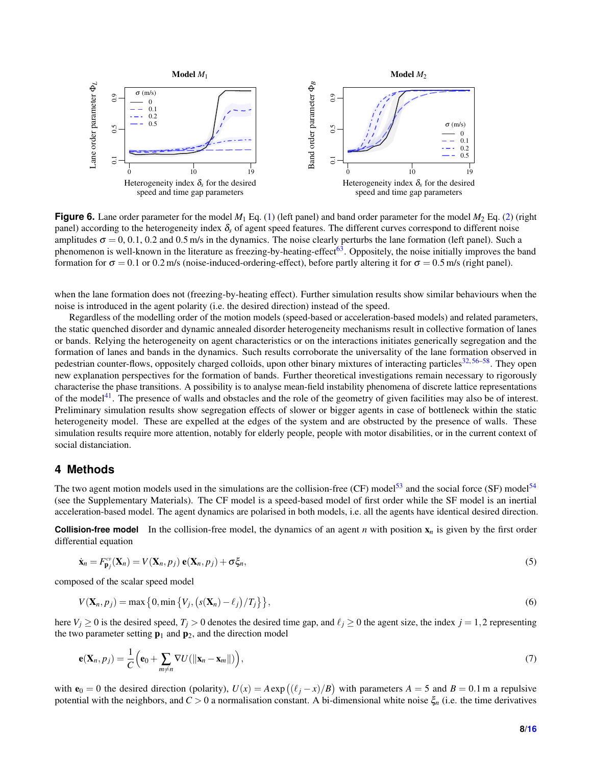<span id="page-7-1"></span>

**Figure 6.** Lane order parameter for the model  $M_1$  Eq. [\(1\)](#page-1-0) (left panel) and band order parameter for the model  $M_2$  Eq. [\(2\)](#page-1-1) (right panel) according to the heterogeneity index δ*<sup>s</sup>* of agent speed features. The different curves correspond to different noise amplitudes  $\sigma = 0, 0.1, 0.2$  and 0.5 m/s in the dynamics. The noise clearly perturbs the lane formation (left panel). Such a phenomenon is well-known in the literature as freezing-by-heating-effect<sup>[63](#page-11-0)</sup>. Oppositely, the noise initially improves the band formation for  $\sigma = 0.1$  or 0.2 m/s (noise-induced-ordering-effect), before partly altering it for  $\sigma = 0.5$  m/s (right panel).

when the lane formation does not (freezing-by-heating effect). Further simulation results show similar behaviours when the noise is introduced in the agent polarity (i.e. the desired direction) instead of the speed.

Regardless of the modelling order of the motion models (speed-based or acceleration-based models) and related parameters, the static quenched disorder and dynamic annealed disorder heterogeneity mechanisms result in collective formation of lanes or bands. Relying the heterogeneity on agent characteristics or on the interactions initiates generically segregation and the formation of lanes and bands in the dynamics. Such results corroborate the universality of the lane formation observed in pedestrian counter-flows, oppositely charged colloids, upon other binary mixtures of interacting particles<sup>[32,](#page-9-14) [56–](#page-10-22)[58](#page-10-18)</sup>. They open new explanation perspectives for the formation of bands. Further theoretical investigations remain necessary to rigorously characterise the phase transitions. A possibility is to analyse mean-field instability phenomena of discrete lattice representations of the model<sup>[41](#page-10-3)</sup>. The presence of walls and obstacles and the role of the geometry of given facilities may also be of interest. Preliminary simulation results show segregation effects of slower or bigger agents in case of bottleneck within the static heterogeneity model. These are expelled at the edges of the system and are obstructed by the presence of walls. These simulation results require more attention, notably for elderly people, people with motor disabilities, or in the current context of social distanciation.

## <span id="page-7-0"></span>**4 Methods**

The two agent motion models used in the simulations are the collision-free (CF) model<sup>[53](#page-10-14)</sup> and the social force (SF) model<sup>[54](#page-10-15)</sup> (see the Supplementary Materials). The CF model is a speed-based model of first order while the SF model is an inertial acceleration-based model. The agent dynamics are polarised in both models, i.e. all the agents have identical desired direction.

**Collision-free model** In the collision-free model, the dynamics of an agent *n* with position  $\mathbf{x}_n$  is given by the first order differential equation

$$
\dot{\mathbf{x}}_n = F_{\mathbf{p}_j}^{\mathrm{ce}}(\mathbf{X}_n) = V(\mathbf{X}_n, p_j) \mathbf{e}(\mathbf{X}_n, p_j) + \sigma \xi_n,
$$
\n(5)

composed of the scalar speed model

$$
V(\mathbf{X}_n, p_j) = \max\left\{0, \min\left\{V_j, \left(s(\mathbf{X}_n) - \ell_j\right) / T_j\right\}\right\},\tag{6}
$$

here  $V_j \ge 0$  is the desired speed,  $T_j > 0$  denotes the desired time gap, and  $\ell_j \ge 0$  the agent size, the index  $j = 1,2$  representing the two parameter setting  $\mathbf{p}_1$  and  $\mathbf{p}_2$ , and the direction model

$$
\mathbf{e}(\mathbf{X}_n, p_j) = \frac{1}{C} \Big( \mathbf{e}_0 + \sum_{m \neq n} \nabla U(||\mathbf{x}_n - \mathbf{x}_m||) \Big), \tag{7}
$$

with  $e_0 = 0$  the desired direction (polarity),  $U(x) = A \exp((\ell_j - x)/B)$  with parameters  $A = 5$  and  $B = 0.1$  m a repulsive potential with the neighbors, and *C* > 0 a normalisation constant. A bi-dimensional white noise ξ*<sup>n</sup>* (i.e. the time derivatives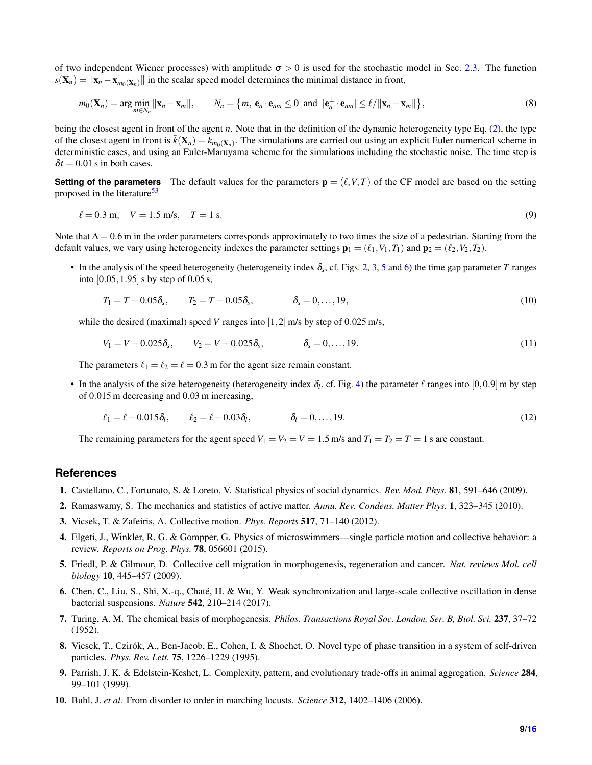of two independent Wiener processes) with amplitude  $\sigma > 0$  is used for the stochastic model in Sec. [2.3.](#page-6-1) The function  $s(\mathbf{X}_n) = ||\mathbf{x}_n - \mathbf{x}_{m_0(\mathbf{X}_n)}||$  in the scalar speed model determines the minimal distance in front,

$$
m_0(\mathbf{X}_n) = \arg\min_{m \in N_n} \|\mathbf{x}_n - \mathbf{x}_m\|, \qquad N_n = \{m, \mathbf{e}_n \cdot \mathbf{e}_{nm} \le 0 \text{ and } |\mathbf{e}_n^{\perp} \cdot \mathbf{e}_{nm}| \le \ell / \|\mathbf{x}_n - \mathbf{x}_m\|\},
$$
\n(8)

being the closest agent in front of the agent *n*. Note that in the definition of the dynamic heterogeneity type Eq. [\(2\)](#page-1-1), the type of the closest agent in front is  $\tilde{k}(\mathbf{X}_n) = k_{m_0(\mathbf{X}_n)}$ . The simulations are carried out using an explicit Euler numerical scheme in deterministic cases, and using an Euler-Maruyama scheme for the simulations including the stochastic noise. The time step is  $\delta t = 0.01$  s in both cases.

**Setting of the parameters** The default values for the parameters  $\mathbf{p} = (\ell, V, T)$  of the CF model are based on the setting proposed in the literature<sup>[53](#page-10-14)</sup>

$$
\ell = 0.3 \text{ m}, \quad V = 1.5 \text{ m/s}, \quad T = 1 \text{ s.}
$$
\n<sup>(9)</sup>

Note that  $\Delta = 0.6$  m in the order parameters corresponds approximately to two times the size of a pedestrian. Starting from the default values, we vary using heterogeneity indexes the parameter settings  $\mathbf{p}_1 = (\ell_1, V_1, T_1)$  and  $\mathbf{p}_2 = (\ell_2, V_2, T_2)$ .

• In the analysis of the speed heterogeneity (heterogeneity index  $\delta_s$ , cf. Figs. [2,](#page-3-0) [3,](#page-5-0) [5](#page-6-0) and [6\)](#page-7-1) the time gap parameter *T* ranges into  $[0.05, 1.95]$  s by step of 0.05 s,

$$
T_1 = T + 0.05\delta_s, \qquad T_2 = T - 0.05\delta_s, \qquad \delta_s = 0, \dots, 19,
$$
\n(10)

while the desired (maximal) speed *V* ranges into [1, 2] m/s by step of 0.025 m/s,

$$
V_1 = V - 0.025\delta_s, \qquad V_2 = V + 0.025\delta_s, \qquad \delta_s = 0, \dots, 19. \tag{11}
$$

The parameters  $\ell_1 = \ell_2 = \ell = 0.3$  m for the agent size remain constant.

• In the analysis of the size heterogeneity (heterogeneity index  $\delta_l$ , cf. Fig. [4\)](#page-5-1) the parameter  $\ell$  ranges into  $[0,0.9]$  m by step of 0.015 m decreasing and 0.03 m increasing,

$$
\ell_1 = \ell - 0.015\delta_l, \qquad \ell_2 = \ell + 0.03\delta_l, \qquad \delta_l = 0, \dots, 19. \tag{12}
$$

The remaining parameters for the agent speed  $V_1 = V_2 = V = 1.5$  m/s and  $T_1 = T_2 = T = 1$  s are constant.

### **References**

- <span id="page-8-0"></span>1. Castellano, C., Fortunato, S. & Loreto, V. Statistical physics of social dynamics. *Rev. Mod. Phys.* 81, 591–646 (2009).
- 2. Ramaswamy, S. The mechanics and statistics of active matter. *Annu. Rev. Condens. Matter Phys.* 1, 323–345 (2010).
- 3. Vicsek, T. & Zafeiris, A. Collective motion. *Phys. Reports* 517, 71–140 (2012).
- <span id="page-8-1"></span>4. Elgeti, J., Winkler, R. G. & Gompper, G. Physics of microswimmers—single particle motion and collective behavior: a review. *Reports on Prog. Phys.* 78, 056601 (2015).
- <span id="page-8-2"></span>5. Friedl, P. & Gilmour, D. Collective cell migration in morphogenesis, regeneration and cancer. *Nat. reviews Mol. cell biology* 10, 445–457 (2009).
- <span id="page-8-3"></span>6. Chen, C., Liu, S., Shi, X.-q., Chaté, H. & Wu, Y. Weak synchronization and large-scale collective oscillation in dense bacterial suspensions. *Nature* 542, 210–214 (2017).
- <span id="page-8-4"></span>7. Turing, A. M. The chemical basis of morphogenesis. *Philos. Transactions Royal Soc. London. Ser. B, Biol. Sci.* 237, 37–72 (1952).
- <span id="page-8-5"></span>8. Vicsek, T., Czirók, A., Ben-Jacob, E., Cohen, I. & Shochet, O. Novel type of phase transition in a system of self-driven particles. *Phys. Rev. Lett.* 75, 1226–1229 (1995).
- 9. Parrish, J. K. & Edelstein-Keshet, L. Complexity, pattern, and evolutionary trade-offs in animal aggregation. *Science* 284, 99–101 (1999).
- <span id="page-8-6"></span>10. Buhl, J. *et al.* From disorder to order in marching locusts. *Science* 312, 1402–1406 (2006).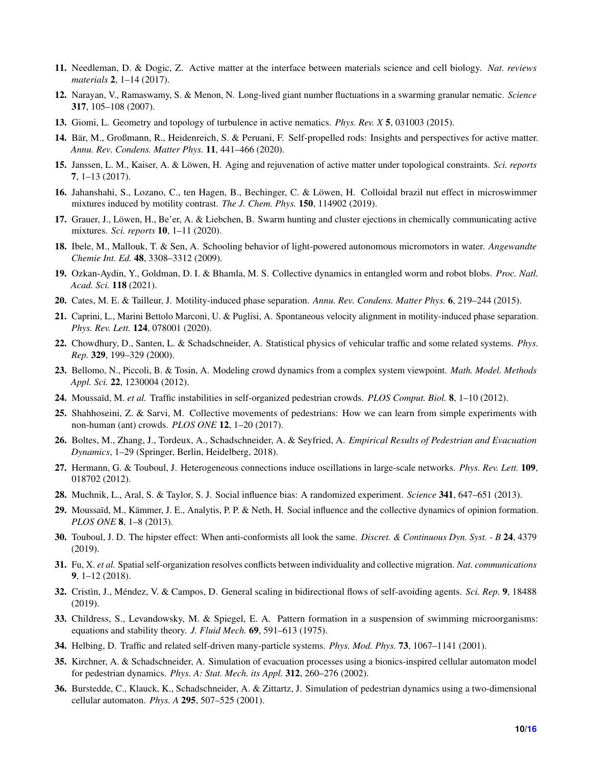- <span id="page-9-0"></span>11. Needleman, D. & Dogic, Z. Active matter at the interface between materials science and cell biology. *Nat. reviews materials* 2, 1–14 (2017).
- <span id="page-9-1"></span>12. Narayan, V., Ramaswamy, S. & Menon, N. Long-lived giant number fluctuations in a swarming granular nematic. *Science* 317, 105–108 (2007).
- 13. Giomi, L. Geometry and topology of turbulence in active nematics. *Phys. Rev. X* 5, 031003 (2015).
- <span id="page-9-2"></span>14. Bär, M., Großmann, R., Heidenreich, S. & Peruani, F. Self-propelled rods: Insights and perspectives for active matter. *Annu. Rev. Condens. Matter Phys.* 11, 441–466 (2020).
- <span id="page-9-3"></span>15. Janssen, L. M., Kaiser, A. & Löwen, H. Aging and rejuvenation of active matter under topological constraints. *Sci. reports* 7, 1–13 (2017).
- <span id="page-9-16"></span>16. Jahanshahi, S., Lozano, C., ten Hagen, B., Bechinger, C. & Löwen, H. Colloidal brazil nut effect in microswimmer mixtures induced by motility contrast. *The J. Chem. Phys.* 150, 114902 (2019).
- <span id="page-9-4"></span>17. Grauer, J., Löwen, H., Be'er, A. & Liebchen, B. Swarm hunting and cluster ejections in chemically communicating active mixtures. *Sci. reports* 10, 1–11 (2020).
- <span id="page-9-5"></span>18. Ibele, M., Mallouk, T. & Sen, A. Schooling behavior of light-powered autonomous micromotors in water. *Angewandte Chemie Int. Ed.* 48, 3308–3312 (2009).
- <span id="page-9-6"></span>19. Ozkan-Aydin, Y., Goldman, D. I. & Bhamla, M. S. Collective dynamics in entangled worm and robot blobs. *Proc. Natl. Acad. Sci.* 118 (2021).
- <span id="page-9-7"></span>20. Cates, M. E. & Tailleur, J. Motility-induced phase separation. *Annu. Rev. Condens. Matter Phys.* 6, 219–244 (2015).
- <span id="page-9-8"></span>21. Caprini, L., Marini Bettolo Marconi, U. & Puglisi, A. Spontaneous velocity alignment in motility-induced phase separation. *Phys. Rev. Lett.* 124, 078001 (2020).
- <span id="page-9-9"></span>22. Chowdhury, D., Santen, L. & Schadschneider, A. Statistical physics of vehicular traffic and some related systems. *Phys. Rep.* 329, 199–329 (2000).
- 23. Bellomo, N., Piccoli, B. & Tosin, A. Modeling crowd dynamics from a complex system viewpoint. *Math. Model. Methods Appl. Sci.* 22, 1230004 (2012).
- 24. Moussaïd, M. *et al.* Traffic instabilities in self-organized pedestrian crowds. *PLOS Comput. Biol.* 8, 1–10 (2012).
- 25. Shahhoseini, Z. & Sarvi, M. Collective movements of pedestrians: How we can learn from simple experiments with non-human (ant) crowds. *PLOS ONE* 12, 1–20 (2017).
- <span id="page-9-10"></span>26. Boltes, M., Zhang, J., Tordeux, A., Schadschneider, A. & Seyfried, A. *Empirical Results of Pedestrian and Evacuation Dynamics*, 1–29 (Springer, Berlin, Heidelberg, 2018).
- <span id="page-9-11"></span>27. Hermann, G. & Touboul, J. Heterogeneous connections induce oscillations in large-scale networks. *Phys. Rev. Lett.* 109, 018702 (2012).
- 28. Muchnik, L., Aral, S. & Taylor, S. J. Social influence bias: A randomized experiment. *Science* 341, 647–651 (2013).
- 29. Moussaïd, M., Kämmer, J. E., Analytis, P. P. & Neth, H. Social influence and the collective dynamics of opinion formation. *PLOS ONE* 8, 1–8 (2013).
- <span id="page-9-12"></span>30. Touboul, J. D. The hipster effect: When anti-conformists all look the same. *Discret. & Continuous Dyn. Syst. - B* 24, 4379 (2019).
- <span id="page-9-13"></span>31. Fu, X. *et al.* Spatial self-organization resolves conflicts between individuality and collective migration. *Nat. communications* 9, 1–12 (2018).
- <span id="page-9-14"></span>32. Cristìn, J., Méndez, V. & Campos, D. General scaling in bidirectional flows of self-avoiding agents. *Sci. Rep.* 9, 18488 (2019).
- <span id="page-9-15"></span>33. Childress, S., Levandowsky, M. & Spiegel, E. A. Pattern formation in a suspension of swimming microorganisms: equations and stability theory. *J. Fluid Mech.* 69, 591–613 (1975).
- <span id="page-9-17"></span>34. Helbing, D. Traffic and related self-driven many-particle systems. *Phys. Mod. Phys.* 73, 1067–1141 (2001).
- <span id="page-9-18"></span>35. Kirchner, A. & Schadschneider, A. Simulation of evacuation processes using a bionics-inspired cellular automaton model for pedestrian dynamics. *Phys. A: Stat. Mech. its Appl.* 312, 260–276 (2002).
- <span id="page-9-19"></span>36. Burstedde, C., Klauck, K., Schadschneider, A. & Zittartz, J. Simulation of pedestrian dynamics using a two-dimensional cellular automaton. *Phys. A* 295, 507–525 (2001).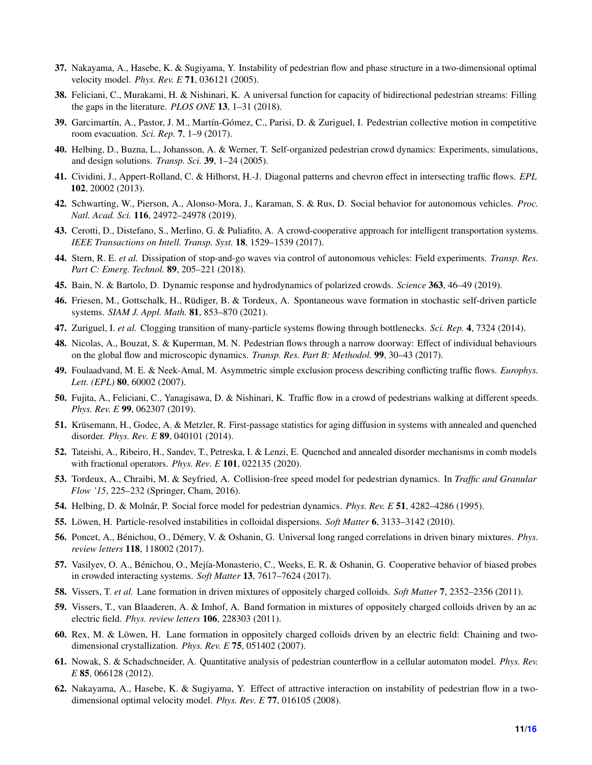- 37. Nakayama, A., Hasebe, K. & Sugiyama, Y. Instability of pedestrian flow and phase structure in a two-dimensional optimal velocity model. *Phys. Rev. E* 71, 036121 (2005).
- <span id="page-10-0"></span>38. Feliciani, C., Murakami, H. & Nishinari, K. A universal function for capacity of bidirectional pedestrian streams: Filling the gaps in the literature. *PLOS ONE* 13, 1–31 (2018).
- <span id="page-10-1"></span>39. Garcimartín, A., Pastor, J. M., Martín-Gómez, C., Parisi, D. & Zuriguel, I. Pedestrian collective motion in competitive room evacuation. *Sci. Rep.* 7, 1–9 (2017).
- <span id="page-10-2"></span>40. Helbing, D., Buzna, L., Johansson, A. & Werner, T. Self-organized pedestrian crowd dynamics: Experiments, simulations, and design solutions. *Transp. Sci.* 39, 1–24 (2005).
- <span id="page-10-3"></span>41. Cividini, J., Appert-Rolland, C. & Hilhorst, H.-J. Diagonal patterns and chevron effect in intersecting traffic flows. *EPL* 102, 20002 (2013).
- <span id="page-10-4"></span>42. Schwarting, W., Pierson, A., Alonso-Mora, J., Karaman, S. & Rus, D. Social behavior for autonomous vehicles. *Proc. Natl. Acad. Sci.* 116, 24972–24978 (2019).
- <span id="page-10-5"></span>43. Cerotti, D., Distefano, S., Merlino, G. & Puliafito, A. A crowd-cooperative approach for intelligent transportation systems. *IEEE Transactions on Intell. Transp. Syst.* 18, 1529–1539 (2017).
- <span id="page-10-6"></span>44. Stern, R. E. *et al.* Dissipation of stop-and-go waves via control of autonomous vehicles: Field experiments. *Transp. Res. Part C: Emerg. Technol.* 89, 205–221 (2018).
- <span id="page-10-23"></span>45. Bain, N. & Bartolo, D. Dynamic response and hydrodynamics of polarized crowds. *Science* 363, 46–49 (2019).
- <span id="page-10-7"></span>46. Friesen, M., Gottschalk, H., Rüdiger, B. & Tordeux, A. Spontaneous wave formation in stochastic self-driven particle systems. *SIAM J. Appl. Math.* 81, 853–870 (2021).
- <span id="page-10-8"></span>47. Zuriguel, I. *et al.* Clogging transition of many-particle systems flowing through bottlenecks. *Sci. Rep.* 4, 7324 (2014).
- <span id="page-10-9"></span>48. Nicolas, A., Bouzat, S. & Kuperman, M. N. Pedestrian flows through a narrow doorway: Effect of individual behaviours on the global flow and microscopic dynamics. *Transp. Res. Part B: Methodol.* 99, 30–43 (2017).
- <span id="page-10-10"></span>49. Foulaadvand, M. E. & Neek-Amal, M. Asymmetric simple exclusion process describing conflicting traffic flows. *Europhys. Lett. (EPL)* 80, 60002 (2007).
- <span id="page-10-11"></span>50. Fujita, A., Feliciani, C., Yanagisawa, D. & Nishinari, K. Traffic flow in a crowd of pedestrians walking at different speeds. *Phys. Rev. E* 99, 062307 (2019).
- <span id="page-10-12"></span>51. Krüsemann, H., Godec, A. & Metzler, R. First-passage statistics for aging diffusion in systems with annealed and quenched disorder. *Phys. Rev. E* 89, 040101 (2014).
- <span id="page-10-13"></span>52. Tateishi, A., Ribeiro, H., Sandev, T., Petreska, I. & Lenzi, E. Quenched and annealed disorder mechanisms in comb models with fractional operators. *Phys. Rev. E* 101, 022135 (2020).
- <span id="page-10-14"></span>53. Tordeux, A., Chraibi, M. & Seyfried, A. Collision-free speed model for pedestrian dynamics. In *Traffic and Granular Flow '15*, 225–232 (Springer, Cham, 2016).
- <span id="page-10-15"></span>54. Helbing, D. & Molnár, P. Social force model for pedestrian dynamics. *Phys. Rev. E* 51, 4282–4286 (1995).
- <span id="page-10-16"></span>55. Löwen, H. Particle-resolved instabilities in colloidal dispersions. *Soft Matter* 6, 3133–3142 (2010).
- <span id="page-10-22"></span>56. Poncet, A., Bénichou, O., Démery, V. & Oshanin, G. Universal long ranged correlations in driven binary mixtures. *Phys. review letters* 118, 118002 (2017).
- <span id="page-10-17"></span>57. Vasilyev, O. A., Bénichou, O., Mejía-Monasterio, C., Weeks, E. R. & Oshanin, G. Cooperative behavior of biased probes in crowded interacting systems. *Soft Matter* 13, 7617–7624 (2017).
- <span id="page-10-18"></span>58. Vissers, T. *et al.* Lane formation in driven mixtures of oppositely charged colloids. *Soft Matter* 7, 2352–2356 (2011).
- <span id="page-10-19"></span>59. Vissers, T., van Blaaderen, A. & Imhof, A. Band formation in mixtures of oppositely charged colloids driven by an ac electric field. *Phys. review letters* 106, 228303 (2011).
- <span id="page-10-20"></span>60. Rex, M. & Löwen, H. Lane formation in oppositely charged colloids driven by an electric field: Chaining and twodimensional crystallization. *Phys. Rev. E* 75, 051402 (2007).
- <span id="page-10-21"></span>61. Nowak, S. & Schadschneider, A. Quantitative analysis of pedestrian counterflow in a cellular automaton model. *Phys. Rev. E* 85, 066128 (2012).
- <span id="page-10-24"></span>62. Nakayama, A., Hasebe, K. & Sugiyama, Y. Effect of attractive interaction on instability of pedestrian flow in a twodimensional optimal velocity model. *Phys. Rev. E* 77, 016105 (2008).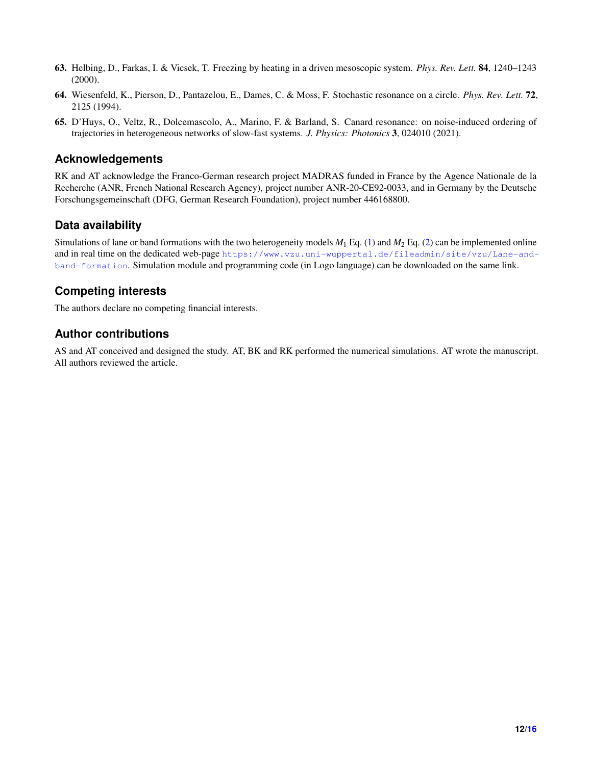- <span id="page-11-0"></span>63. Helbing, D., Farkas, I. & Vicsek, T. Freezing by heating in a driven mesoscopic system. *Phys. Rev. Lett.* 84, 1240–1243 (2000).
- <span id="page-11-1"></span>64. Wiesenfeld, K., Pierson, D., Pantazelou, E., Dames, C. & Moss, F. Stochastic resonance on a circle. *Phys. Rev. Lett.* 72, 2125 (1994).
- <span id="page-11-2"></span>65. D'Huys, O., Veltz, R., Dolcemascolo, A., Marino, F. & Barland, S. Canard resonance: on noise-induced ordering of trajectories in heterogeneous networks of slow-fast systems. *J. Physics: Photonics* 3, 024010 (2021).

## **Acknowledgements**

RK and AT acknowledge the Franco-German research project MADRAS funded in France by the Agence Nationale de la Recherche (ANR, French National Research Agency), project number ANR-20-CE92-0033, and in Germany by the Deutsche Forschungsgemeinschaft (DFG, German Research Foundation), project number 446168800.

## **Data availability**

Simulations of lane or band formations with the two heterogeneity models  $M_1$  Eq. [\(1\)](#page-1-0) and  $M_2$  Eq. [\(2\)](#page-1-1) can be implemented online and in real time on the dedicated web-page [https://www.vzu.uni-wuppertal.de/fileadmin/site/vzu/Lane-and](https://www.vzu.uni-wuppertal.de/fileadmin/site/vzu/Lane-and-band-formation.html)[band-formation](https://www.vzu.uni-wuppertal.de/fileadmin/site/vzu/Lane-and-band-formation.html). Simulation module and programming code (in Logo language) can be downloaded on the same link.

# **Competing interests**

The authors declare no competing financial interests.

# **Author contributions**

AS and AT conceived and designed the study. AT, BK and RK performed the numerical simulations. AT wrote the manuscript. All authors reviewed the article.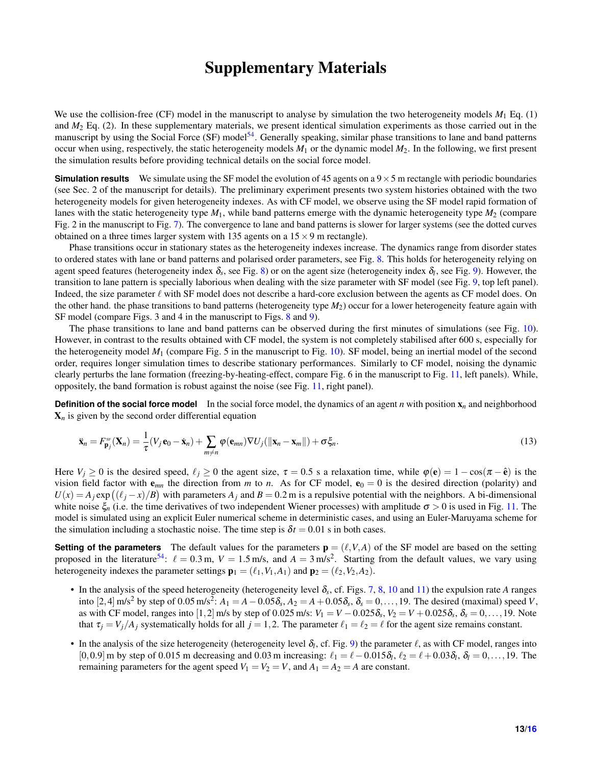# Supplementary Materials

We use the collision-free (CF) model in the manuscript to analyse by simulation the two heterogeneity models  $M_1$  Eq. (1) and *M*<sup>2</sup> Eq. (2). In these supplementary materials, we present identical simulation experiments as those carried out in the manuscript by using the Social Force (SF) model<sup>[54](#page-10-15)</sup>. Generally speaking, similar phase transitions to lane and band patterns occur when using, respectively, the static heterogeneity models  $M_1$  or the dynamic model  $M_2$ . In the following, we first present the simulation results before providing technical details on the social force model.

**Simulation results** We simulate using the SF model the evolution of 45 agents on a  $9 \times 5$  m rectangle with periodic boundaries (see Sec. 2 of the manuscript for details). The preliminary experiment presents two system histories obtained with the two heterogeneity models for given heterogeneity indexes. As with CF model, we observe using the SF model rapid formation of lanes with the static heterogeneity type *M*1, while band patterns emerge with the dynamic heterogeneity type *M*<sup>2</sup> (compare Fig. 2 in the manuscript to Fig. [7\)](#page-13-0). The convergence to lane and band patterns is slower for larger systems (see the dotted curves obtained on a three times larger system with 135 agents on a  $15 \times 9$  m rectangle).

Phase transitions occur in stationary states as the heterogeneity indexes increase. The dynamics range from disorder states to ordered states with lane or band patterns and polarised order parameters, see Fig. [8.](#page-14-0) This holds for heterogeneity relying on agent speed features (heterogeneity index  $\delta_s$ , see Fig. [8\)](#page-14-0) or on the agent size (heterogeneity index  $\delta_l$ , see Fig. [9\)](#page-14-1). However, the transition to lane pattern is specially laborious when dealing with the size parameter with SF model (see Fig. [9,](#page-14-1) top left panel). Indeed, the size parameter  $\ell$  with SF model does not describe a hard-core exclusion between the agents as CF model does. On the other hand. the phase transitions to band patterns (heterogeneity type *M*2) occur for a lower heterogeneity feature again with SF model (compare Figs. 3 and 4 in the manuscript to Figs. [8](#page-14-0) and [9\)](#page-14-1).

The phase transitions to lane and band patterns can be observed during the first minutes of simulations (see Fig. [10\)](#page-15-1). However, in contrast to the results obtained with CF model, the system is not completely stabilised after 600 s, especially for the heterogeneity model *M*<sup>1</sup> (compare Fig. 5 in the manuscript to Fig. [10\)](#page-15-1). SF model, being an inertial model of the second order, requires longer simulation times to describe stationary performances. Similarly to CF model, noising the dynamic clearly perturbs the lane formation (freezing-by-heating-effect, compare Fig. 6 in the manuscript to Fig. [11,](#page-15-2) left panels). While, oppositely, the band formation is robust against the noise (see Fig. [11,](#page-15-2) right panel).

**Definition of the social force model** In the social force model, the dynamics of an agent *n* with position  $x_n$  and neighborhood  $X_n$  is given by the second order differential equation

$$
\ddot{\mathbf{x}}_n = F_{\mathbf{p}_j}^{\mathrm{ss}}(\mathbf{X}_n) = \frac{1}{\tau}(V_j \mathbf{e}_0 - \dot{\mathbf{x}}_n) + \sum_{m \neq n} \varphi(\mathbf{e}_{mn}) \nabla U_j(||\mathbf{x}_n - \mathbf{x}_m||) + \sigma \xi_n.
$$
\n(13)

Here  $V_j \ge 0$  is the desired speed,  $\ell_j \ge 0$  the agent size,  $\tau = 0.5$  s a relaxation time, while  $\varphi(\mathbf{e}) = 1 - \cos(\pi - \hat{\mathbf{e}})$  is the vision field factor with  $e_{mn}$  the direction from *m* to *n*. As for CF model,  $e_0 = 0$  is the desired direction (polarity) and  $U(x) = A_j \exp((\ell_j - x)/B)$  with parameters  $A_j$  and  $B = 0.2$  m is a repulsive potential with the neighbors. A bi-dimensional white noise  $\xi_n$  (i.e. the time derivatives of two independent Wiener processes) with amplitude  $\sigma > 0$  is used in Fig. [11.](#page-15-2) The model is simulated using an explicit Euler numerical scheme in deterministic cases, and using an Euler-Maruyama scheme for the simulation including a stochastic noise. The time step is  $\delta t = 0.01$  s in both cases.

**Setting of the parameters** The default values for the parameters  $\mathbf{p} = (\ell, V, A)$  of the SF model are based on the setting proposed in the literature<sup>[54](#page-10-15)</sup>:  $\ell = 0.3$  m,  $V = 1.5$  m/s, and  $A = 3$  m/s<sup>2</sup>. Starting from the default values, we vary using heterogeneity indexes the parameter settings  $\mathbf{p}_1 = (\ell_1, V_1, A_1)$  and  $\mathbf{p}_2 = (\ell_2, V_2, A_2)$ .

- In the analysis of the speed heterogeneity (heterogeneity level δ<sub>s</sub>, cf. Figs. [7,](#page-13-0) [8,](#page-14-0) [10](#page-15-1) and [11\)](#page-15-2) the expulsion rate *A* ranges into [2, 4] m/s<sup>2</sup> by step of 0.05 m/s<sup>2</sup>:  $A_1 = A - 0.05\delta_s$ ,  $A_2 = A + 0.05\delta_s$ ,  $\delta_s = 0, ..., 19$ . The desired (maximal) speed *V*, as with CF model, ranges into [1,2] m/s by step of 0.025 m/s:  $V_1 = V - 0.025\delta_s$ ,  $V_2 = V + 0.025\delta_s$ ,  $\delta_s = 0, \ldots, 19$ . Note that  $\tau_i = V_i / A_i$  systematically holds for all  $j = 1, 2$ . The parameter  $\ell_1 = \ell_2 = \ell$  for the agent size remains constant.
- In the analysis of the size heterogeneity (heterogeneity level  $\delta_l$ , cf. Fig. [9\)](#page-14-1) the parameter  $\ell$ , as with CF model, ranges into [0,0.9] m by step of 0.015 m decreasing and 0.03 m increasing:  $\ell_1 = \ell - 0.015\delta_l$ ,  $\ell_2 = \ell + 0.03\delta_l$ ,  $\delta_l = 0, \ldots, 19$ . The remaining parameters for the agent speed  $V_1 = V_2 = V$ , and  $A_1 = A_2 = A$  are constant.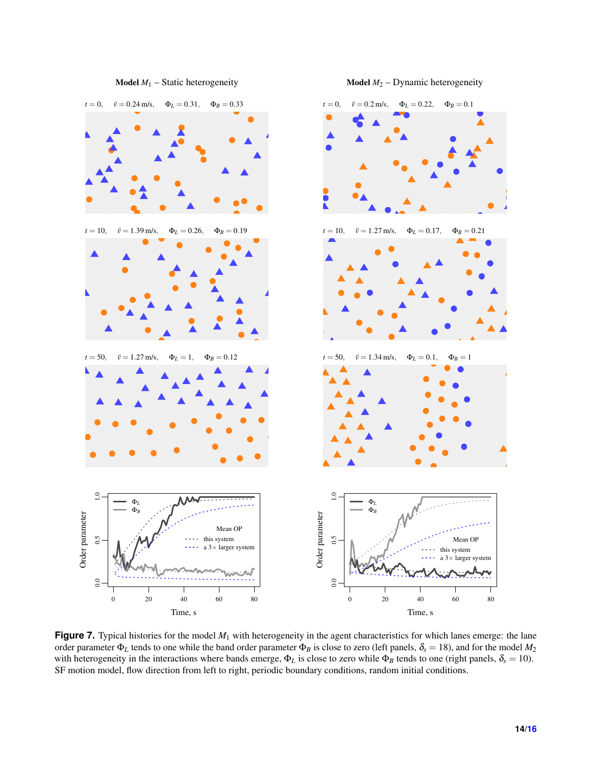<span id="page-13-0"></span>

**Figure 7.** Typical histories for the model  $M_1$  with heterogeneity in the agent characteristics for which lanes emerge: the lane order parameter Φ*<sup>L</sup>* tends to one while the band order parameter Φ*<sup>B</sup>* is close to zero (left panels, δ*<sup>s</sup>* = 18), and for the model *M*<sup>2</sup> with heterogeneity in the interactions where bands emerge,  $\Phi_L$  is close to zero while  $\Phi_B$  tends to one (right panels,  $\delta_s = 10$ ). SF motion model, flow direction from left to right, periodic boundary conditions, random initial conditions.

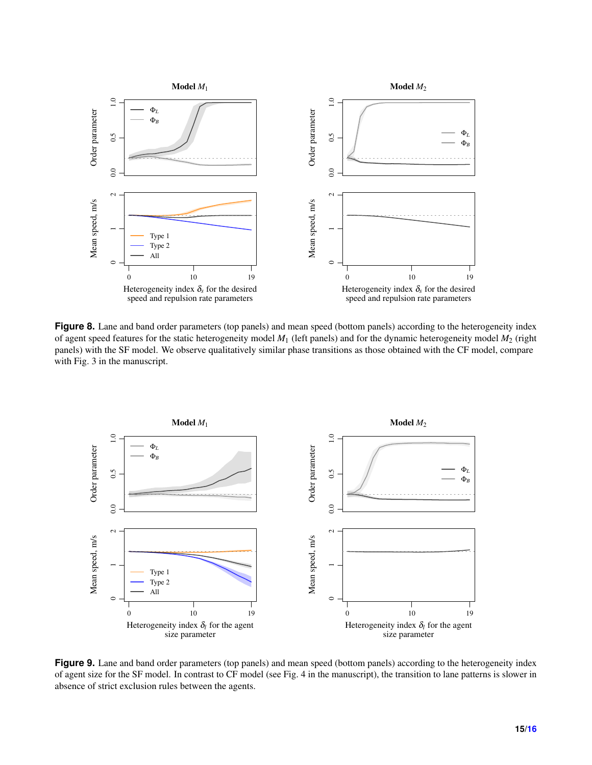<span id="page-14-0"></span>

**Figure 8.** Lane and band order parameters (top panels) and mean speed (bottom panels) according to the heterogeneity index of agent speed features for the static heterogeneity model *M*<sup>1</sup> (left panels) and for the dynamic heterogeneity model *M*<sup>2</sup> (right panels) with the SF model. We observe qualitatively similar phase transitions as those obtained with the CF model, compare with Fig. 3 in the manuscript.

<span id="page-14-1"></span>

Figure 9. Lane and band order parameters (top panels) and mean speed (bottom panels) according to the heterogeneity index of agent size for the SF model. In contrast to CF model (see Fig. 4 in the manuscript), the transition to lane patterns is slower in absence of strict exclusion rules between the agents.